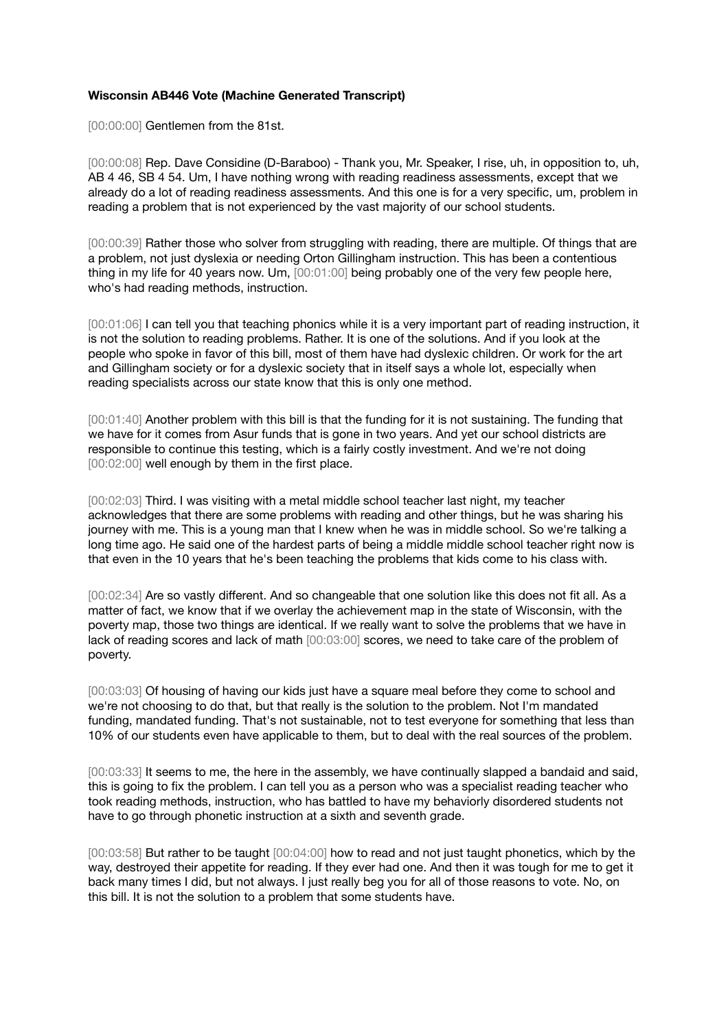## **Wisconsin AB446 Vote (Machine Generated Transcript)**

[00:00:00] Gentlemen from the 81st.

[00:00:08] Rep. Dave Considine (D-Baraboo) - Thank you, Mr. Speaker, I rise, uh, in opposition to, uh, AB 4 46, SB 4 54. Um, I have nothing wrong with reading readiness assessments, except that we already do a lot of reading readiness assessments. And this one is for a very specific, um, problem in reading a problem that is not experienced by the vast majority of our school students.

[00:00:39] Rather those who solver from struggling with reading, there are multiple. Of things that are a problem, not just dyslexia or needing Orton Gillingham instruction. This has been a contentious thing in my life for 40 years now. Um, [00:01:00] being probably one of the very few people here, who's had reading methods, instruction.

[00:01:06] I can tell you that teaching phonics while it is a very important part of reading instruction, it is not the solution to reading problems. Rather. It is one of the solutions. And if you look at the people who spoke in favor of this bill, most of them have had dyslexic children. Or work for the art and Gillingham society or for a dyslexic society that in itself says a whole lot, especially when reading specialists across our state know that this is only one method.

[00:01:40] Another problem with this bill is that the funding for it is not sustaining. The funding that we have for it comes from Asur funds that is gone in two years. And yet our school districts are responsible to continue this testing, which is a fairly costly investment. And we're not doing [00:02:00] well enough by them in the first place.

[00:02:03] Third. I was visiting with a metal middle school teacher last night, my teacher acknowledges that there are some problems with reading and other things, but he was sharing his journey with me. This is a young man that I knew when he was in middle school. So we're talking a long time ago. He said one of the hardest parts of being a middle middle school teacher right now is that even in the 10 years that he's been teaching the problems that kids come to his class with.

[00:02:34] Are so vastly different. And so changeable that one solution like this does not fit all. As a matter of fact, we know that if we overlay the achievement map in the state of Wisconsin, with the poverty map, those two things are identical. If we really want to solve the problems that we have in lack of reading scores and lack of math [00:03:00] scores, we need to take care of the problem of poverty.

[00:03:03] Of housing of having our kids just have a square meal before they come to school and we're not choosing to do that, but that really is the solution to the problem. Not I'm mandated funding, mandated funding. That's not sustainable, not to test everyone for something that less than 10% of our students even have applicable to them, but to deal with the real sources of the problem.

[00:03:33] It seems to me, the here in the assembly, we have continually slapped a bandaid and said, this is going to fix the problem. I can tell you as a person who was a specialist reading teacher who took reading methods, instruction, who has battled to have my behaviorly disordered students not have to go through phonetic instruction at a sixth and seventh grade.

[00:03:58] But rather to be taught [00:04:00] how to read and not just taught phonetics, which by the way, destroyed their appetite for reading. If they ever had one. And then it was tough for me to get it back many times I did, but not always. I just really beg you for all of those reasons to vote. No, on this bill. It is not the solution to a problem that some students have.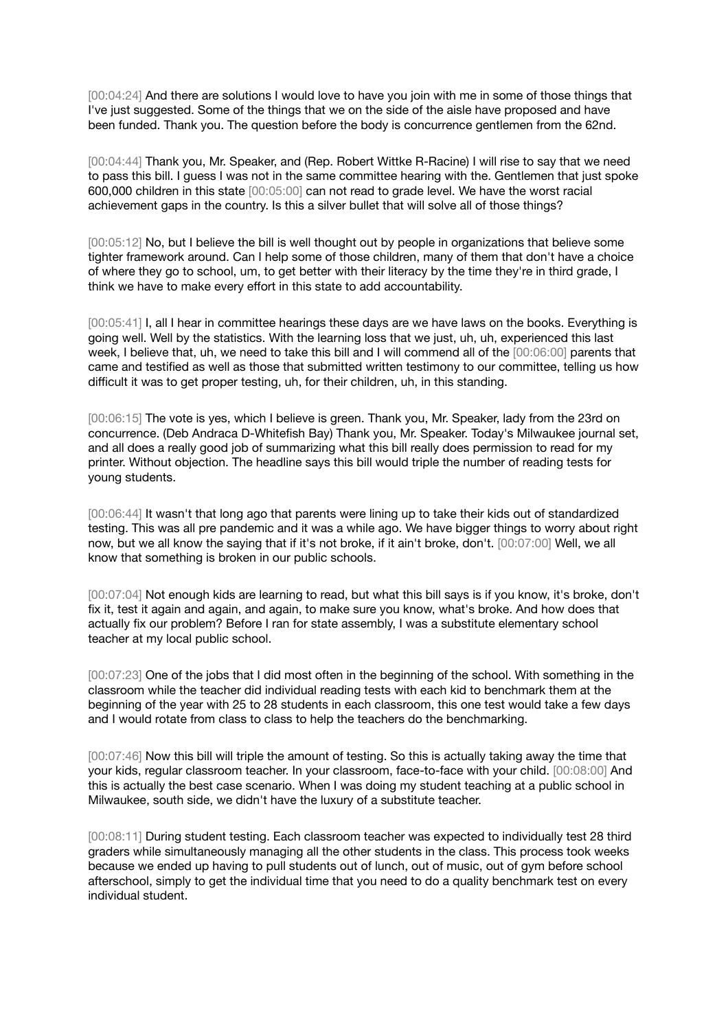[00:04:24] And there are solutions I would love to have you join with me in some of those things that I've just suggested. Some of the things that we on the side of the aisle have proposed and have been funded. Thank you. The question before the body is concurrence gentlemen from the 62nd.

[00:04:44] Thank you, Mr. Speaker, and (Rep. Robert Wittke R-Racine) I will rise to say that we need to pass this bill. I guess I was not in the same committee hearing with the. Gentlemen that just spoke 600,000 children in this state [00:05:00] can not read to grade level. We have the worst racial achievement gaps in the country. Is this a silver bullet that will solve all of those things?

[00:05:12] No, but I believe the bill is well thought out by people in organizations that believe some tighter framework around. Can I help some of those children, many of them that don't have a choice of where they go to school, um, to get better with their literacy by the time they're in third grade, I think we have to make every effort in this state to add accountability.

[00:05:41] I, all I hear in committee hearings these days are we have laws on the books. Everything is going well. Well by the statistics. With the learning loss that we just, uh, uh, experienced this last week, I believe that, uh, we need to take this bill and I will commend all of the [00:06:00] parents that came and testified as well as those that submitted written testimony to our committee, telling us how difficult it was to get proper testing, uh, for their children, uh, in this standing.

[00:06:15] The vote is yes, which I believe is green. Thank you, Mr. Speaker, lady from the 23rd on concurrence. (Deb Andraca D-Whitefish Bay) Thank you, Mr. Speaker. Today's Milwaukee journal set, and all does a really good job of summarizing what this bill really does permission to read for my printer. Without objection. The headline says this bill would triple the number of reading tests for young students.

[00:06:44] It wasn't that long ago that parents were lining up to take their kids out of standardized testing. This was all pre pandemic and it was a while ago. We have bigger things to worry about right now, but we all know the saying that if it's not broke, if it ain't broke, don't. [00:07:00] Well, we all know that something is broken in our public schools.

[00:07:04] Not enough kids are learning to read, but what this bill says is if you know, it's broke, don't fix it, test it again and again, and again, to make sure you know, what's broke. And how does that actually fix our problem? Before I ran for state assembly, I was a substitute elementary school teacher at my local public school.

[00:07:23] One of the jobs that I did most often in the beginning of the school. With something in the classroom while the teacher did individual reading tests with each kid to benchmark them at the beginning of the year with 25 to 28 students in each classroom, this one test would take a few days and I would rotate from class to class to help the teachers do the benchmarking.

[00:07:46] Now this bill will triple the amount of testing. So this is actually taking away the time that your kids, regular classroom teacher. In your classroom, face-to-face with your child. [00:08:00] And this is actually the best case scenario. When I was doing my student teaching at a public school in Milwaukee, south side, we didn't have the luxury of a substitute teacher.

[00:08:11] During student testing. Each classroom teacher was expected to individually test 28 third graders while simultaneously managing all the other students in the class. This process took weeks because we ended up having to pull students out of lunch, out of music, out of gym before school afterschool, simply to get the individual time that you need to do a quality benchmark test on every individual student.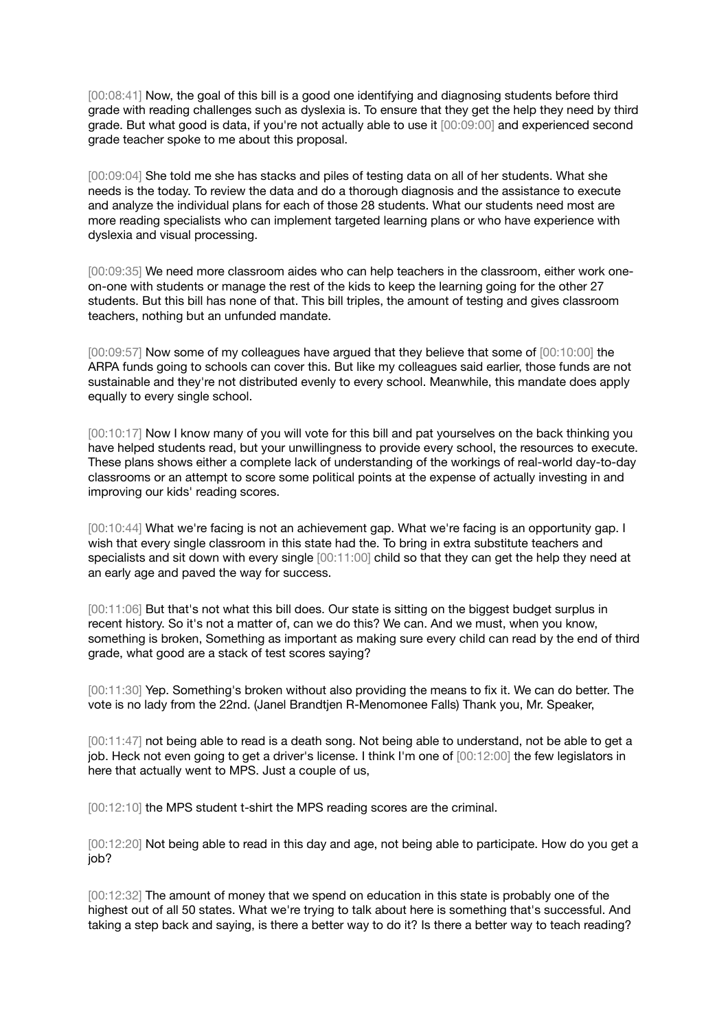[00:08:41] Now, the goal of this bill is a good one identifying and diagnosing students before third grade with reading challenges such as dyslexia is. To ensure that they get the help they need by third grade. But what good is data, if you're not actually able to use it [00:09:00] and experienced second grade teacher spoke to me about this proposal.

[00:09:04] She told me she has stacks and piles of testing data on all of her students. What she needs is the today. To review the data and do a thorough diagnosis and the assistance to execute and analyze the individual plans for each of those 28 students. What our students need most are more reading specialists who can implement targeted learning plans or who have experience with dyslexia and visual processing.

[00:09:35] We need more classroom aides who can help teachers in the classroom, either work oneon-one with students or manage the rest of the kids to keep the learning going for the other 27 students. But this bill has none of that. This bill triples, the amount of testing and gives classroom teachers, nothing but an unfunded mandate.

[00:09:57] Now some of my colleagues have argued that they believe that some of [00:10:00] the ARPA funds going to schools can cover this. But like my colleagues said earlier, those funds are not sustainable and they're not distributed evenly to every school. Meanwhile, this mandate does apply equally to every single school.

[00:10:17] Now I know many of you will vote for this bill and pat yourselves on the back thinking you have helped students read, but your unwillingness to provide every school, the resources to execute. These plans shows either a complete lack of understanding of the workings of real-world day-to-day classrooms or an attempt to score some political points at the expense of actually investing in and improving our kids' reading scores.

[00:10:44] What we're facing is not an achievement gap. What we're facing is an opportunity gap. I wish that every single classroom in this state had the. To bring in extra substitute teachers and specialists and sit down with every single [00:11:00] child so that they can get the help they need at an early age and paved the way for success.

[00:11:06] But that's not what this bill does. Our state is sitting on the biggest budget surplus in recent history. So it's not a matter of, can we do this? We can. And we must, when you know, something is broken, Something as important as making sure every child can read by the end of third grade, what good are a stack of test scores saying?

[00:11:30] Yep. Something's broken without also providing the means to fix it. We can do better. The vote is no lady from the 22nd. (Janel Brandtjen R-Menomonee Falls) Thank you, Mr. Speaker,

[00:11:47] not being able to read is a death song. Not being able to understand, not be able to get a job. Heck not even going to get a driver's license. I think I'm one of [00:12:00] the few legislators in here that actually went to MPS. Just a couple of us,

[00:12:10] the MPS student t-shirt the MPS reading scores are the criminal.

[00:12:20] Not being able to read in this day and age, not being able to participate. How do you get a job?

[00:12:32] The amount of money that we spend on education in this state is probably one of the highest out of all 50 states. What we're trying to talk about here is something that's successful. And taking a step back and saying, is there a better way to do it? Is there a better way to teach reading?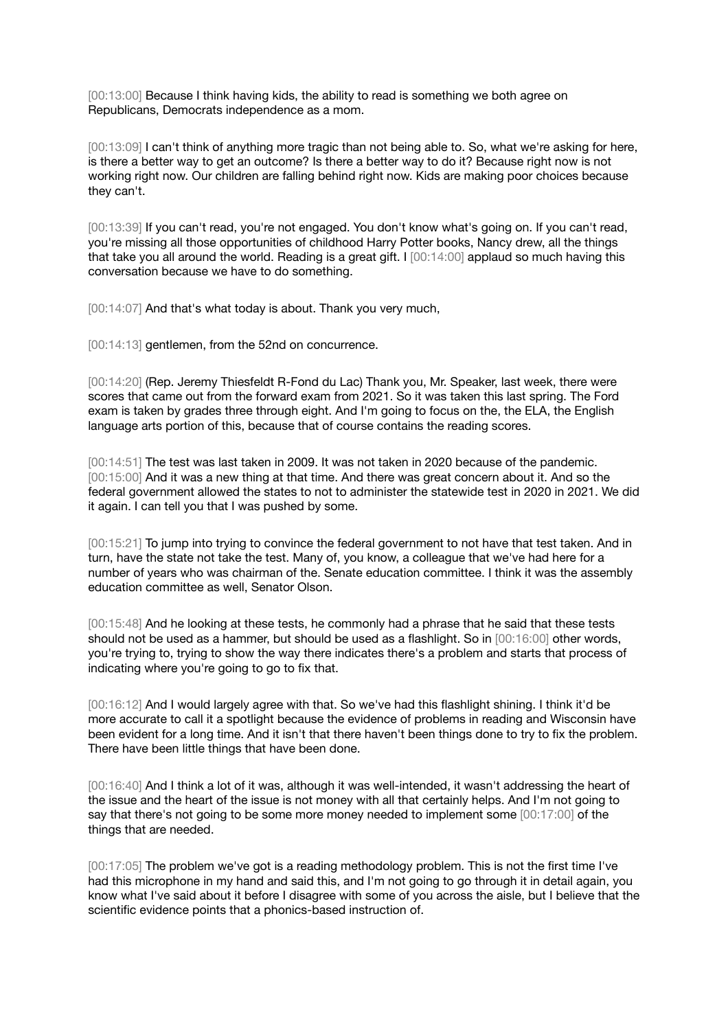[00:13:00] Because I think having kids, the ability to read is something we both agree on Republicans, Democrats independence as a mom.

[00:13:09] I can't think of anything more tragic than not being able to. So, what we're asking for here, is there a better way to get an outcome? Is there a better way to do it? Because right now is not working right now. Our children are falling behind right now. Kids are making poor choices because they can't.

[00:13:39] If you can't read, you're not engaged. You don't know what's going on. If you can't read, you're missing all those opportunities of childhood Harry Potter books, Nancy drew, all the things that take you all around the world. Reading is a great gift. I [00:14:00] applaud so much having this conversation because we have to do something.

[00:14:07] And that's what today is about. Thank you very much,

[00:14:13] gentlemen, from the 52nd on concurrence.

[00:14:20] (Rep. Jeremy Thiesfeldt R-Fond du Lac) Thank you, Mr. Speaker, last week, there were scores that came out from the forward exam from 2021. So it was taken this last spring. The Ford exam is taken by grades three through eight. And I'm going to focus on the, the ELA, the English language arts portion of this, because that of course contains the reading scores.

[00:14:51] The test was last taken in 2009. It was not taken in 2020 because of the pandemic. [00:15:00] And it was a new thing at that time. And there was great concern about it. And so the federal government allowed the states to not to administer the statewide test in 2020 in 2021. We did it again. I can tell you that I was pushed by some.

[00:15:21] To jump into trying to convince the federal government to not have that test taken. And in turn, have the state not take the test. Many of, you know, a colleague that we've had here for a number of years who was chairman of the. Senate education committee. I think it was the assembly education committee as well, Senator Olson.

[00:15:48] And he looking at these tests, he commonly had a phrase that he said that these tests should not be used as a hammer, but should be used as a flashlight. So in [00:16:00] other words, you're trying to, trying to show the way there indicates there's a problem and starts that process of indicating where you're going to go to fix that.

[00:16:12] And I would largely agree with that. So we've had this flashlight shining. I think it'd be more accurate to call it a spotlight because the evidence of problems in reading and Wisconsin have been evident for a long time. And it isn't that there haven't been things done to try to fix the problem. There have been little things that have been done.

[00:16:40] And I think a lot of it was, although it was well-intended, it wasn't addressing the heart of the issue and the heart of the issue is not money with all that certainly helps. And I'm not going to say that there's not going to be some more money needed to implement some [00:17:00] of the things that are needed.

[00:17:05] The problem we've got is a reading methodology problem. This is not the first time I've had this microphone in my hand and said this, and I'm not going to go through it in detail again, you know what I've said about it before I disagree with some of you across the aisle, but I believe that the scientific evidence points that a phonics-based instruction of.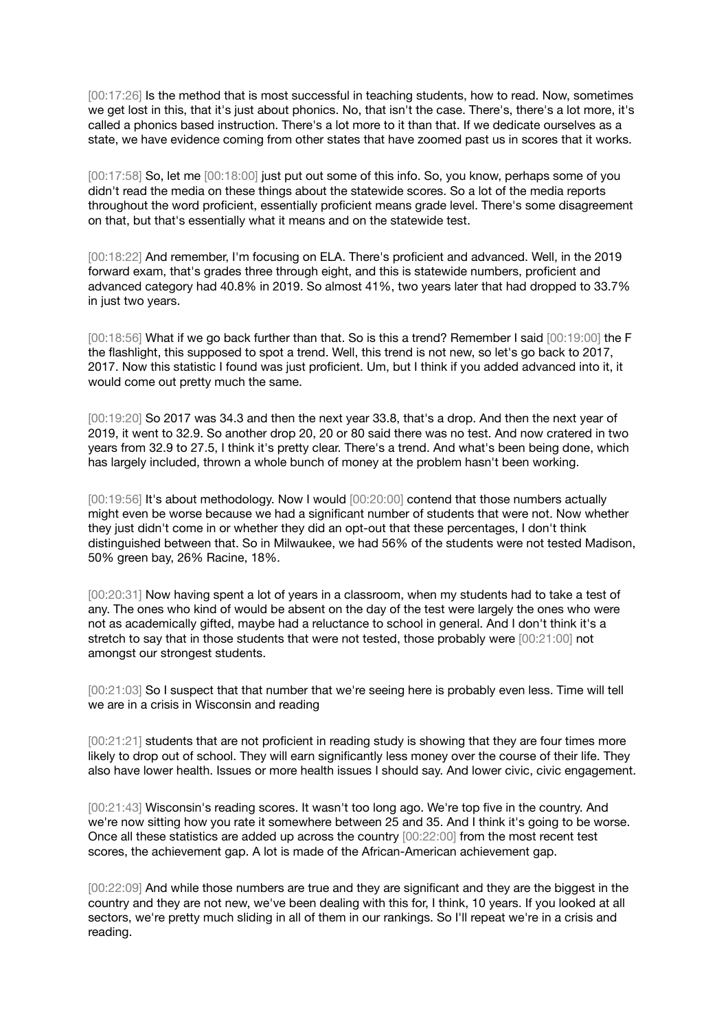[00:17:26] Is the method that is most successful in teaching students, how to read. Now, sometimes we get lost in this, that it's just about phonics. No, that isn't the case. There's, there's a lot more, it's called a phonics based instruction. There's a lot more to it than that. If we dedicate ourselves as a state, we have evidence coming from other states that have zoomed past us in scores that it works.

[00:17:58] So, let me [00:18:00] just put out some of this info. So, you know, perhaps some of you didn't read the media on these things about the statewide scores. So a lot of the media reports throughout the word proficient, essentially proficient means grade level. There's some disagreement on that, but that's essentially what it means and on the statewide test.

[00:18:22] And remember, I'm focusing on ELA. There's proficient and advanced. Well, in the 2019 forward exam, that's grades three through eight, and this is statewide numbers, proficient and advanced category had 40.8% in 2019. So almost 41%, two years later that had dropped to 33.7% in just two years.

[00:18:56] What if we go back further than that. So is this a trend? Remember I said [00:19:00] the F the flashlight, this supposed to spot a trend. Well, this trend is not new, so let's go back to 2017, 2017. Now this statistic I found was just proficient. Um, but I think if you added advanced into it, it would come out pretty much the same.

[00:19:20] So 2017 was 34.3 and then the next year 33.8, that's a drop. And then the next year of 2019, it went to 32.9. So another drop 20, 20 or 80 said there was no test. And now cratered in two years from 32.9 to 27.5, I think it's pretty clear. There's a trend. And what's been being done, which has largely included, thrown a whole bunch of money at the problem hasn't been working.

[00:19:56] It's about methodology. Now I would [00:20:00] contend that those numbers actually might even be worse because we had a significant number of students that were not. Now whether they just didn't come in or whether they did an opt-out that these percentages, I don't think distinguished between that. So in Milwaukee, we had 56% of the students were not tested Madison, 50% green bay, 26% Racine, 18%.

[00:20:31] Now having spent a lot of years in a classroom, when my students had to take a test of any. The ones who kind of would be absent on the day of the test were largely the ones who were not as academically gifted, maybe had a reluctance to school in general. And I don't think it's a stretch to say that in those students that were not tested, those probably were [00:21:00] not amongst our strongest students.

[00:21:03] So I suspect that that number that we're seeing here is probably even less. Time will tell we are in a crisis in Wisconsin and reading

[00:21:21] students that are not proficient in reading study is showing that they are four times more likely to drop out of school. They will earn significantly less money over the course of their life. They also have lower health. Issues or more health issues I should say. And lower civic, civic engagement.

[00:21:43] Wisconsin's reading scores. It wasn't too long ago. We're top five in the country. And we're now sitting how you rate it somewhere between 25 and 35. And I think it's going to be worse. Once all these statistics are added up across the country [00:22:00] from the most recent test scores, the achievement gap. A lot is made of the African-American achievement gap.

[00:22:09] And while those numbers are true and they are significant and they are the biggest in the country and they are not new, we've been dealing with this for, I think, 10 years. If you looked at all sectors, we're pretty much sliding in all of them in our rankings. So I'll repeat we're in a crisis and reading.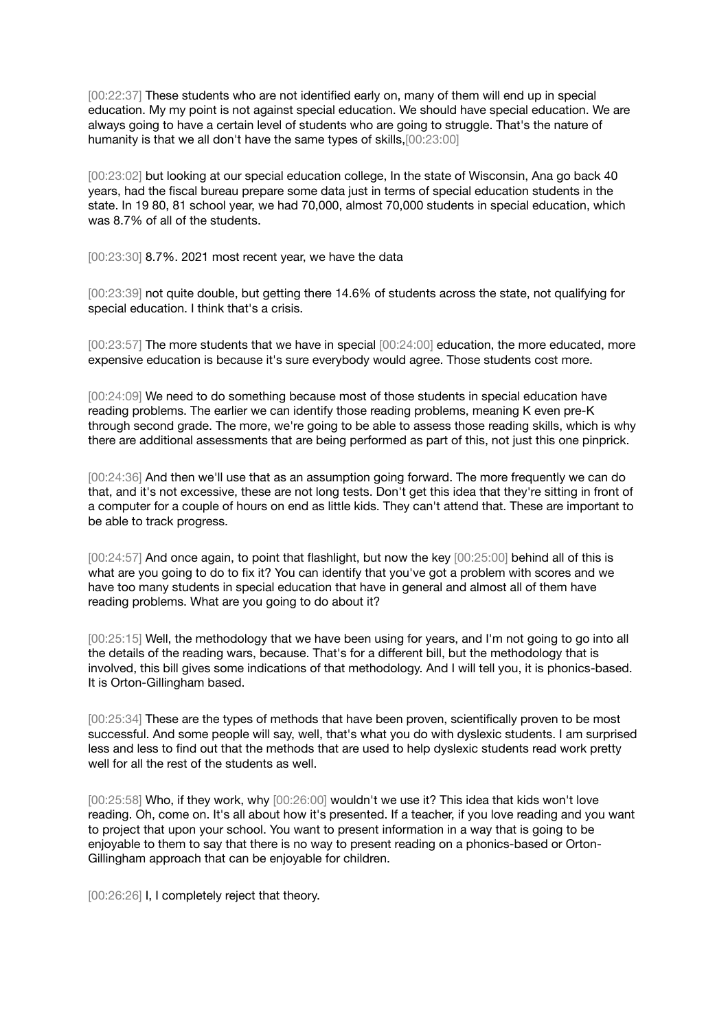[00:22:37] These students who are not identified early on, many of them will end up in special education. My my point is not against special education. We should have special education. We are always going to have a certain level of students who are going to struggle. That's the nature of humanity is that we all don't have the same types of skills,[00:23:00]

[00:23:02] but looking at our special education college, In the state of Wisconsin, Ana go back 40 years, had the fiscal bureau prepare some data just in terms of special education students in the state. In 19 80, 81 school year, we had 70,000, almost 70,000 students in special education, which was 8.7% of all of the students.

[00:23:30] 8.7%. 2021 most recent year, we have the data

[00:23:39] not quite double, but getting there 14.6% of students across the state, not qualifying for special education. I think that's a crisis.

[00:23:57] The more students that we have in special [00:24:00] education, the more educated, more expensive education is because it's sure everybody would agree. Those students cost more.

[00:24:09] We need to do something because most of those students in special education have reading problems. The earlier we can identify those reading problems, meaning K even pre-K through second grade. The more, we're going to be able to assess those reading skills, which is why there are additional assessments that are being performed as part of this, not just this one pinprick.

[00:24:36] And then we'll use that as an assumption going forward. The more frequently we can do that, and it's not excessive, these are not long tests. Don't get this idea that they're sitting in front of a computer for a couple of hours on end as little kids. They can't attend that. These are important to be able to track progress.

[00:24:57] And once again, to point that flashlight, but now the key [00:25:00] behind all of this is what are you going to do to fix it? You can identify that you've got a problem with scores and we have too many students in special education that have in general and almost all of them have reading problems. What are you going to do about it?

[00:25:15] Well, the methodology that we have been using for years, and I'm not going to go into all the details of the reading wars, because. That's for a different bill, but the methodology that is involved, this bill gives some indications of that methodology. And I will tell you, it is phonics-based. It is Orton-Gillingham based.

[00:25:34] These are the types of methods that have been proven, scientifically proven to be most successful. And some people will say, well, that's what you do with dyslexic students. I am surprised less and less to find out that the methods that are used to help dyslexic students read work pretty well for all the rest of the students as well.

[00:25:58] Who, if they work, why [00:26:00] wouldn't we use it? This idea that kids won't love reading. Oh, come on. It's all about how it's presented. If a teacher, if you love reading and you want to project that upon your school. You want to present information in a way that is going to be enjoyable to them to say that there is no way to present reading on a phonics-based or Orton-Gillingham approach that can be enjoyable for children.

[00:26:26] I, I completely reject that theory.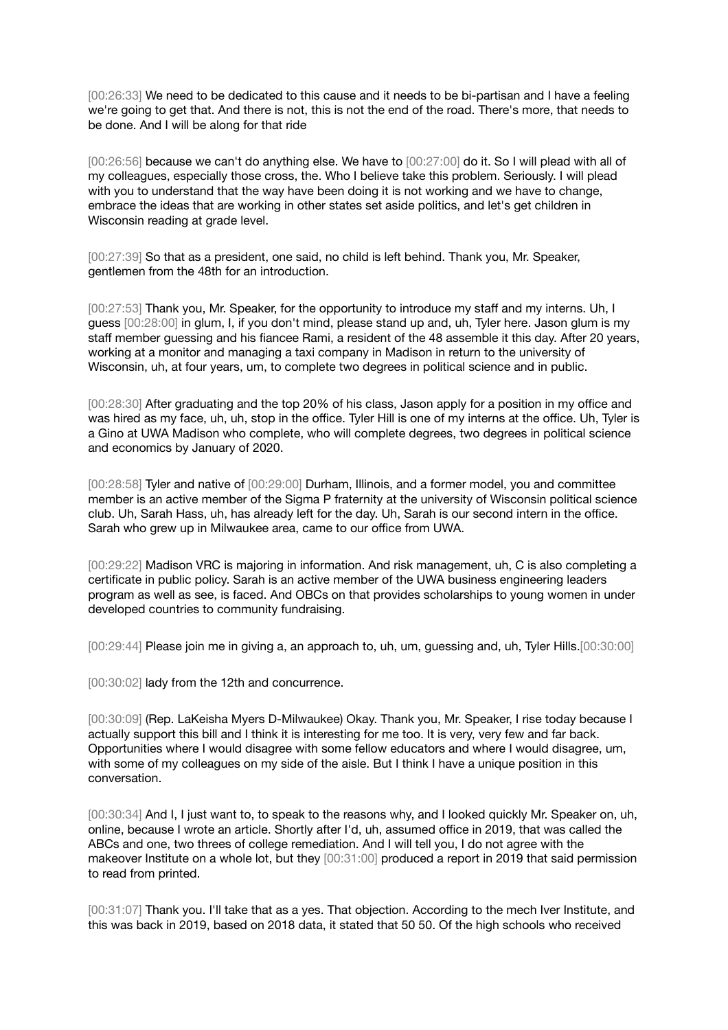[00:26:33] We need to be dedicated to this cause and it needs to be bi-partisan and I have a feeling we're going to get that. And there is not, this is not the end of the road. There's more, that needs to be done. And I will be along for that ride

[00:26:56] because we can't do anything else. We have to [00:27:00] do it. So I will plead with all of my colleagues, especially those cross, the. Who I believe take this problem. Seriously. I will plead with you to understand that the way have been doing it is not working and we have to change, embrace the ideas that are working in other states set aside politics, and let's get children in Wisconsin reading at grade level.

[00:27:39] So that as a president, one said, no child is left behind. Thank you, Mr. Speaker, gentlemen from the 48th for an introduction.

[00:27:53] Thank you, Mr. Speaker, for the opportunity to introduce my staff and my interns. Uh, I guess [00:28:00] in glum, I, if you don't mind, please stand up and, uh, Tyler here. Jason glum is my staff member guessing and his fiancee Rami, a resident of the 48 assemble it this day. After 20 years, working at a monitor and managing a taxi company in Madison in return to the university of Wisconsin, uh, at four years, um, to complete two degrees in political science and in public.

[00:28:30] After graduating and the top 20% of his class, Jason apply for a position in my office and was hired as my face, uh, uh, stop in the office. Tyler Hill is one of my interns at the office. Uh, Tyler is a Gino at UWA Madison who complete, who will complete degrees, two degrees in political science and economics by January of 2020.

[00:28:58] Tyler and native of [00:29:00] Durham, Illinois, and a former model, you and committee member is an active member of the Sigma P fraternity at the university of Wisconsin political science club. Uh, Sarah Hass, uh, has already left for the day. Uh, Sarah is our second intern in the office. Sarah who grew up in Milwaukee area, came to our office from UWA.

[00:29:22] Madison VRC is majoring in information. And risk management, uh, C is also completing a certificate in public policy. Sarah is an active member of the UWA business engineering leaders program as well as see, is faced. And OBCs on that provides scholarships to young women in under developed countries to community fundraising.

[00:29:44] Please join me in giving a, an approach to, uh, um, guessing and, uh, Tyler Hills.[00:30:00]

[00:30:02] lady from the 12th and concurrence.

[00:30:09] (Rep. LaKeisha Myers D-Milwaukee) Okay. Thank you, Mr. Speaker, I rise today because I actually support this bill and I think it is interesting for me too. It is very, very few and far back. Opportunities where I would disagree with some fellow educators and where I would disagree, um, with some of my colleagues on my side of the aisle. But I think I have a unique position in this conversation.

[00:30:34] And I, I just want to, to speak to the reasons why, and I looked quickly Mr. Speaker on, uh, online, because I wrote an article. Shortly after I'd, uh, assumed office in 2019, that was called the ABCs and one, two threes of college remediation. And I will tell you, I do not agree with the makeover Institute on a whole lot, but they [00:31:00] produced a report in 2019 that said permission to read from printed.

[00:31:07] Thank you. I'll take that as a yes. That objection. According to the mech Iver Institute, and this was back in 2019, based on 2018 data, it stated that 50 50. Of the high schools who received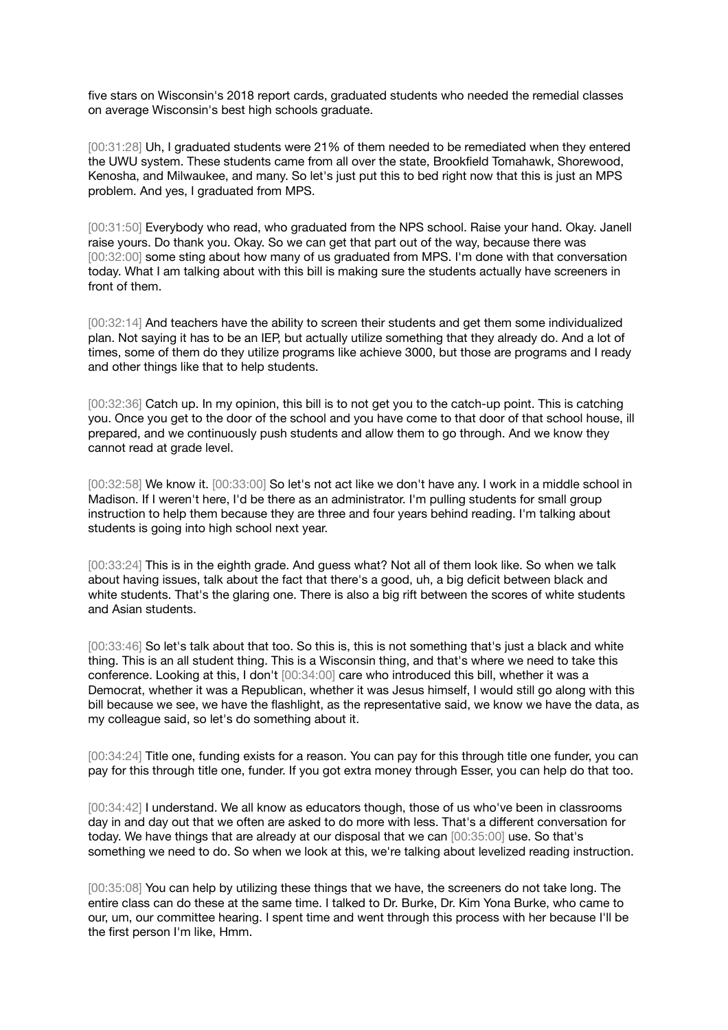five stars on Wisconsin's 2018 report cards, graduated students who needed the remedial classes on average Wisconsin's best high schools graduate.

[00:31:28] Uh, I graduated students were 21% of them needed to be remediated when they entered the UWU system. These students came from all over the state, Brookfield Tomahawk, Shorewood, Kenosha, and Milwaukee, and many. So let's just put this to bed right now that this is just an MPS problem. And yes, I graduated from MPS.

[00:31:50] Everybody who read, who graduated from the NPS school. Raise your hand. Okay. Janell raise yours. Do thank you. Okay. So we can get that part out of the way, because there was [00:32:00] some sting about how many of us graduated from MPS. I'm done with that conversation today. What I am talking about with this bill is making sure the students actually have screeners in front of them.

[00:32:14] And teachers have the ability to screen their students and get them some individualized plan. Not saying it has to be an IEP, but actually utilize something that they already do. And a lot of times, some of them do they utilize programs like achieve 3000, but those are programs and I ready and other things like that to help students.

[00:32:36] Catch up. In my opinion, this bill is to not get you to the catch-up point. This is catching you. Once you get to the door of the school and you have come to that door of that school house, ill prepared, and we continuously push students and allow them to go through. And we know they cannot read at grade level.

[00:32:58] We know it. [00:33:00] So let's not act like we don't have any. I work in a middle school in Madison. If I weren't here, I'd be there as an administrator. I'm pulling students for small group instruction to help them because they are three and four years behind reading. I'm talking about students is going into high school next year.

[00:33:24] This is in the eighth grade. And guess what? Not all of them look like. So when we talk about having issues, talk about the fact that there's a good, uh, a big deficit between black and white students. That's the glaring one. There is also a big rift between the scores of white students and Asian students.

[00:33:46] So let's talk about that too. So this is, this is not something that's just a black and white thing. This is an all student thing. This is a Wisconsin thing, and that's where we need to take this conference. Looking at this, I don't [00:34:00] care who introduced this bill, whether it was a Democrat, whether it was a Republican, whether it was Jesus himself, I would still go along with this bill because we see, we have the flashlight, as the representative said, we know we have the data, as my colleague said, so let's do something about it.

[00:34:24] Title one, funding exists for a reason. You can pay for this through title one funder, you can pay for this through title one, funder. If you got extra money through Esser, you can help do that too.

[00:34:42] I understand. We all know as educators though, those of us who've been in classrooms day in and day out that we often are asked to do more with less. That's a different conversation for today. We have things that are already at our disposal that we can [00:35:00] use. So that's something we need to do. So when we look at this, we're talking about levelized reading instruction.

[00:35:08] You can help by utilizing these things that we have, the screeners do not take long. The entire class can do these at the same time. I talked to Dr. Burke, Dr. Kim Yona Burke, who came to our, um, our committee hearing. I spent time and went through this process with her because I'll be the first person I'm like, Hmm.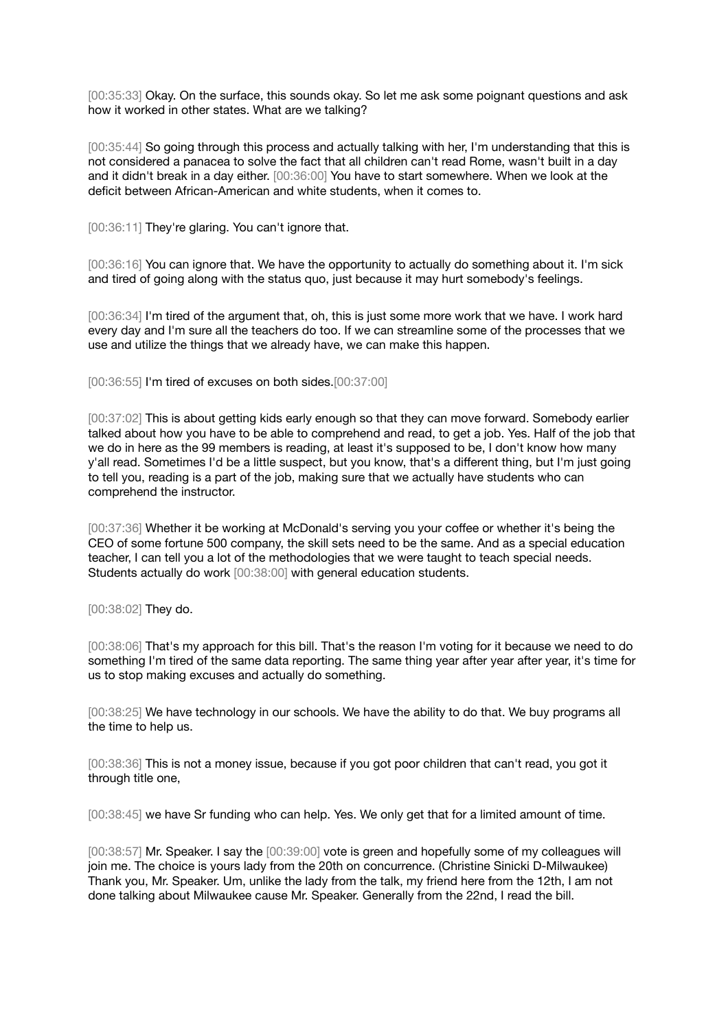[00:35:33] Okay. On the surface, this sounds okay. So let me ask some poignant questions and ask how it worked in other states. What are we talking?

[00:35:44] So going through this process and actually talking with her, I'm understanding that this is not considered a panacea to solve the fact that all children can't read Rome, wasn't built in a day and it didn't break in a day either. [00:36:00] You have to start somewhere. When we look at the deficit between African-American and white students, when it comes to.

[00:36:11] They're glaring. You can't ignore that.

[00:36:16] You can ignore that. We have the opportunity to actually do something about it. I'm sick and tired of going along with the status quo, just because it may hurt somebody's feelings.

[00:36:34] I'm tired of the argument that, oh, this is just some more work that we have. I work hard every day and I'm sure all the teachers do too. If we can streamline some of the processes that we use and utilize the things that we already have, we can make this happen.

[00:36:55] I'm tired of excuses on both sides.[00:37:00]

[00:37:02] This is about getting kids early enough so that they can move forward. Somebody earlier talked about how you have to be able to comprehend and read, to get a job. Yes. Half of the job that we do in here as the 99 members is reading, at least it's supposed to be, I don't know how many y'all read. Sometimes I'd be a little suspect, but you know, that's a different thing, but I'm just going to tell you, reading is a part of the job, making sure that we actually have students who can comprehend the instructor.

[00:37:36] Whether it be working at McDonald's serving you your coffee or whether it's being the CEO of some fortune 500 company, the skill sets need to be the same. And as a special education teacher, I can tell you a lot of the methodologies that we were taught to teach special needs. Students actually do work [00:38:00] with general education students.

[00:38:02] They do.

[00:38:06] That's my approach for this bill. That's the reason I'm voting for it because we need to do something I'm tired of the same data reporting. The same thing year after year after year, it's time for us to stop making excuses and actually do something.

[00:38:25] We have technology in our schools. We have the ability to do that. We buy programs all the time to help us.

[00:38:36] This is not a money issue, because if you got poor children that can't read, you got it through title one,

[00:38:45] we have Sr funding who can help. Yes. We only get that for a limited amount of time.

[00:38:57] Mr. Speaker. I say the [00:39:00] vote is green and hopefully some of my colleagues will join me. The choice is yours lady from the 20th on concurrence. (Christine Sinicki D-Milwaukee) Thank you, Mr. Speaker. Um, unlike the lady from the talk, my friend here from the 12th, I am not done talking about Milwaukee cause Mr. Speaker. Generally from the 22nd, I read the bill.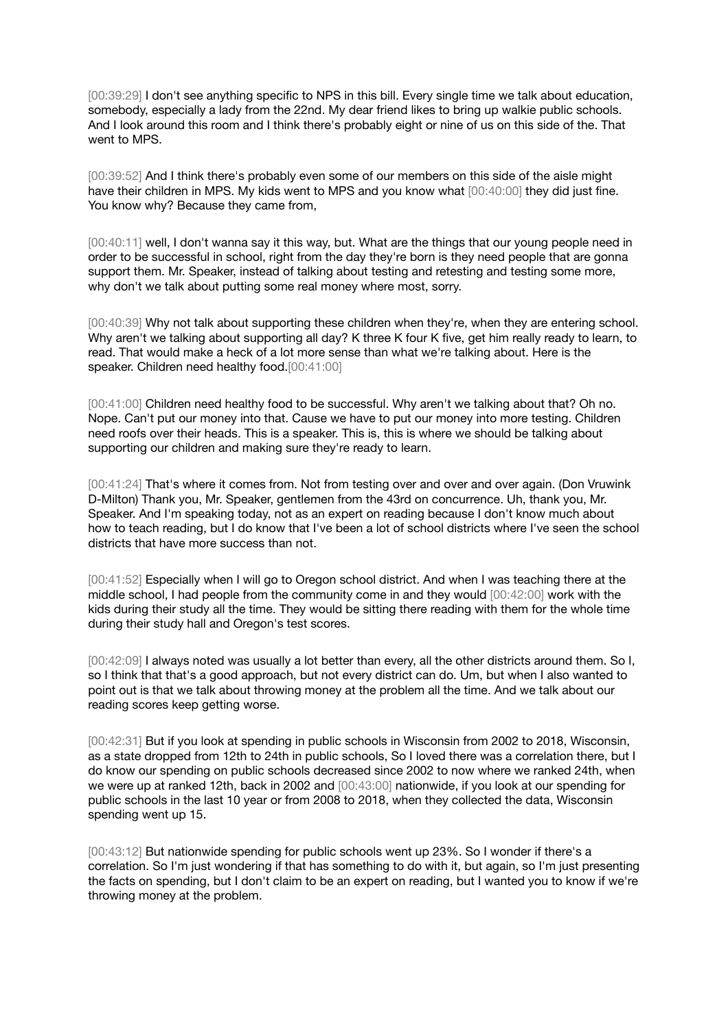[00:39:29] I don't see anything specific to NPS in this bill. Every single time we talk about education, somebody, especially a lady from the 22nd. My dear friend likes to bring up walkie public schools. And I look around this room and I think there's probably eight or nine of us on this side of the. That went to MPS.

[00:39:52] And I think there's probably even some of our members on this side of the aisle might have their children in MPS. My kids went to MPS and you know what  $[00:40:00]$  they did just fine. You know why? Because they came from,

[00:40:11] well, I don't wanna say it this way, but. What are the things that our young people need in order to be successful in school, right from the day they're born is they need people that are gonna support them. Mr. Speaker, instead of talking about testing and retesting and testing some more, why don't we talk about putting some real money where most, sorry.

[00:40:39] Why not talk about supporting these children when they're, when they are entering school. Why aren't we talking about supporting all day? K three K four K five, get him really ready to learn, to read. That would make a heck of a lot more sense than what we're talking about. Here is the speaker. Children need healthy food.[00:41:00]

[00:41:00] Children need healthy food to be successful. Why aren't we talking about that? Oh no. Nope. Can't put our money into that. Cause we have to put our money into more testing. Children need roofs over their heads. This is a speaker. This is, this is where we should be talking about supporting our children and making sure they're ready to learn.

[00:41:24] That's where it comes from. Not from testing over and over and over again. (Don Vruwink D-Milton) Thank you, Mr. Speaker, gentlemen from the 43rd on concurrence. Uh, thank you, Mr. Speaker. And I'm speaking today, not as an expert on reading because I don't know much about how to teach reading, but I do know that I've been a lot of school districts where I've seen the school districts that have more success than not.

[00:41:52] Especially when I will go to Oregon school district. And when I was teaching there at the middle school, I had people from the community come in and they would [00:42:00] work with the kids during their study all the time. They would be sitting there reading with them for the whole time during their study hall and Oregon's test scores.

[00:42:09] I always noted was usually a lot better than every, all the other districts around them. So I, so I think that that's a good approach, but not every district can do. Um, but when I also wanted to point out is that we talk about throwing money at the problem all the time. And we talk about our reading scores keep getting worse.

[00:42:31] But if you look at spending in public schools in Wisconsin from 2002 to 2018, Wisconsin, as a state dropped from 12th to 24th in public schools, So I loved there was a correlation there, but I do know our spending on public schools decreased since 2002 to now where we ranked 24th, when we were up at ranked 12th, back in 2002 and [00:43:00] nationwide, if you look at our spending for public schools in the last 10 year or from 2008 to 2018, when they collected the data, Wisconsin spending went up 15.

[00:43:12] But nationwide spending for public schools went up 23%. So I wonder if there's a correlation. So I'm just wondering if that has something to do with it, but again, so I'm just presenting the facts on spending, but I don't claim to be an expert on reading, but I wanted you to know if we're throwing money at the problem.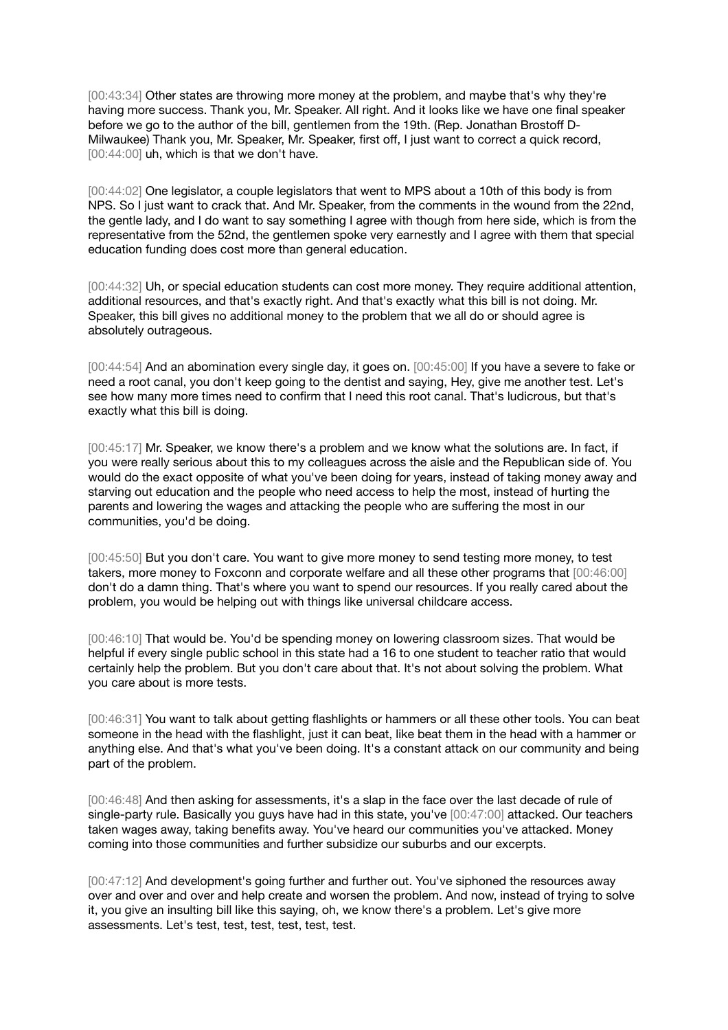[00:43:34] Other states are throwing more money at the problem, and maybe that's why they're having more success. Thank you, Mr. Speaker. All right. And it looks like we have one final speaker before we go to the author of the bill, gentlemen from the 19th. (Rep. Jonathan Brostoff D-Milwaukee) Thank you, Mr. Speaker, Mr. Speaker, first off, I just want to correct a quick record, [00:44:00] uh, which is that we don't have.

[00:44:02] One legislator, a couple legislators that went to MPS about a 10th of this body is from NPS. So I just want to crack that. And Mr. Speaker, from the comments in the wound from the 22nd, the gentle lady, and I do want to say something I agree with though from here side, which is from the representative from the 52nd, the gentlemen spoke very earnestly and I agree with them that special education funding does cost more than general education.

[00:44:32] Uh, or special education students can cost more money. They require additional attention, additional resources, and that's exactly right. And that's exactly what this bill is not doing. Mr. Speaker, this bill gives no additional money to the problem that we all do or should agree is absolutely outrageous.

[00:44:54] And an abomination every single day, it goes on. [00:45:00] If you have a severe to fake or need a root canal, you don't keep going to the dentist and saying, Hey, give me another test. Let's see how many more times need to confirm that I need this root canal. That's ludicrous, but that's exactly what this bill is doing.

[00:45:17] Mr. Speaker, we know there's a problem and we know what the solutions are. In fact, if you were really serious about this to my colleagues across the aisle and the Republican side of. You would do the exact opposite of what you've been doing for years, instead of taking money away and starving out education and the people who need access to help the most, instead of hurting the parents and lowering the wages and attacking the people who are suffering the most in our communities, you'd be doing.

[00:45:50] But you don't care. You want to give more money to send testing more money, to test takers, more money to Foxconn and corporate welfare and all these other programs that [00:46:00] don't do a damn thing. That's where you want to spend our resources. If you really cared about the problem, you would be helping out with things like universal childcare access.

[00:46:10] That would be. You'd be spending money on lowering classroom sizes. That would be helpful if every single public school in this state had a 16 to one student to teacher ratio that would certainly help the problem. But you don't care about that. It's not about solving the problem. What you care about is more tests.

[00:46:31] You want to talk about getting flashlights or hammers or all these other tools. You can beat someone in the head with the flashlight, just it can beat, like beat them in the head with a hammer or anything else. And that's what you've been doing. It's a constant attack on our community and being part of the problem.

[00:46:48] And then asking for assessments, it's a slap in the face over the last decade of rule of single-party rule. Basically you guys have had in this state, you've [00:47:00] attacked. Our teachers taken wages away, taking benefits away. You've heard our communities you've attacked. Money coming into those communities and further subsidize our suburbs and our excerpts.

[00:47:12] And development's going further and further out. You've siphoned the resources away over and over and over and help create and worsen the problem. And now, instead of trying to solve it, you give an insulting bill like this saying, oh, we know there's a problem. Let's give more assessments. Let's test, test, test, test, test, test.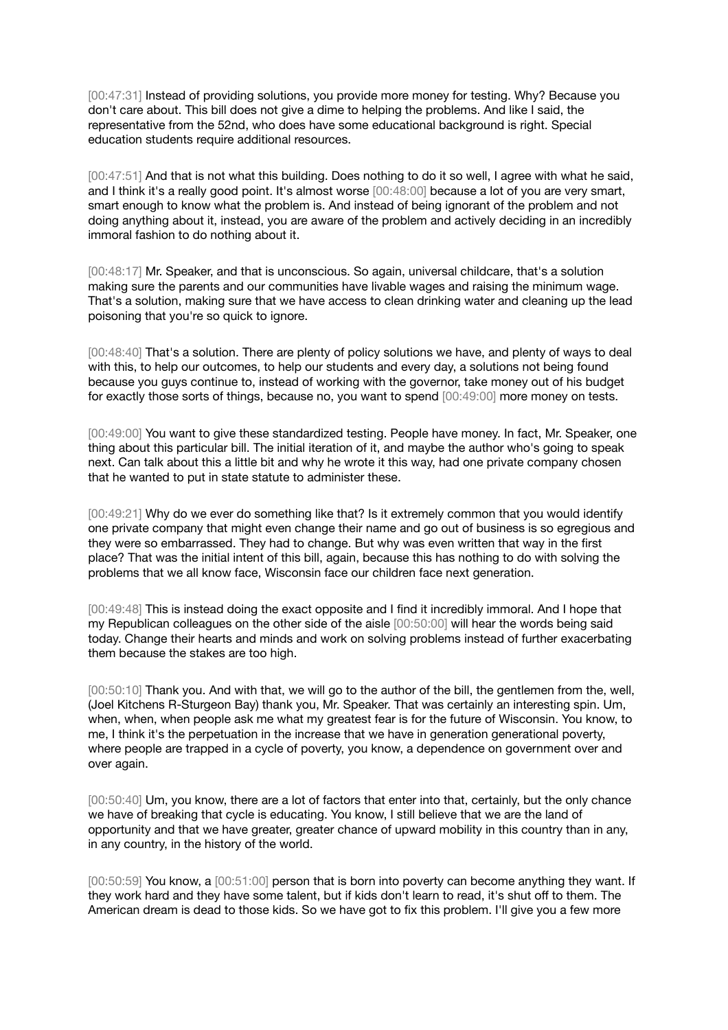[00:47:31] Instead of providing solutions, you provide more money for testing. Why? Because you don't care about. This bill does not give a dime to helping the problems. And like I said, the representative from the 52nd, who does have some educational background is right. Special education students require additional resources.

[00:47:51] And that is not what this building. Does nothing to do it so well, I agree with what he said, and I think it's a really good point. It's almost worse [00:48:00] because a lot of you are very smart, smart enough to know what the problem is. And instead of being ignorant of the problem and not doing anything about it, instead, you are aware of the problem and actively deciding in an incredibly immoral fashion to do nothing about it.

[00:48:17] Mr. Speaker, and that is unconscious. So again, universal childcare, that's a solution making sure the parents and our communities have livable wages and raising the minimum wage. That's a solution, making sure that we have access to clean drinking water and cleaning up the lead poisoning that you're so quick to ignore.

[00:48:40] That's a solution. There are plenty of policy solutions we have, and plenty of ways to deal with this, to help our outcomes, to help our students and every day, a solutions not being found because you guys continue to, instead of working with the governor, take money out of his budget for exactly those sorts of things, because no, you want to spend [00:49:00] more money on tests.

[00:49:00] You want to give these standardized testing. People have money. In fact, Mr. Speaker, one thing about this particular bill. The initial iteration of it, and maybe the author who's going to speak next. Can talk about this a little bit and why he wrote it this way, had one private company chosen that he wanted to put in state statute to administer these.

[00:49:21] Why do we ever do something like that? Is it extremely common that you would identify one private company that might even change their name and go out of business is so egregious and they were so embarrassed. They had to change. But why was even written that way in the first place? That was the initial intent of this bill, again, because this has nothing to do with solving the problems that we all know face, Wisconsin face our children face next generation.

[00:49:48] This is instead doing the exact opposite and I find it incredibly immoral. And I hope that my Republican colleagues on the other side of the aisle [00:50:00] will hear the words being said today. Change their hearts and minds and work on solving problems instead of further exacerbating them because the stakes are too high.

[00:50:10] Thank you. And with that, we will go to the author of the bill, the gentlemen from the, well, (Joel Kitchens R-Sturgeon Bay) thank you, Mr. Speaker. That was certainly an interesting spin. Um, when, when, when people ask me what my greatest fear is for the future of Wisconsin. You know, to me, I think it's the perpetuation in the increase that we have in generation generational poverty, where people are trapped in a cycle of poverty, you know, a dependence on government over and over again.

[00:50:40] Um, you know, there are a lot of factors that enter into that, certainly, but the only chance we have of breaking that cycle is educating. You know, I still believe that we are the land of opportunity and that we have greater, greater chance of upward mobility in this country than in any, in any country, in the history of the world.

[00:50:59] You know, a [00:51:00] person that is born into poverty can become anything they want. If they work hard and they have some talent, but if kids don't learn to read, it's shut off to them. The American dream is dead to those kids. So we have got to fix this problem. I'll give you a few more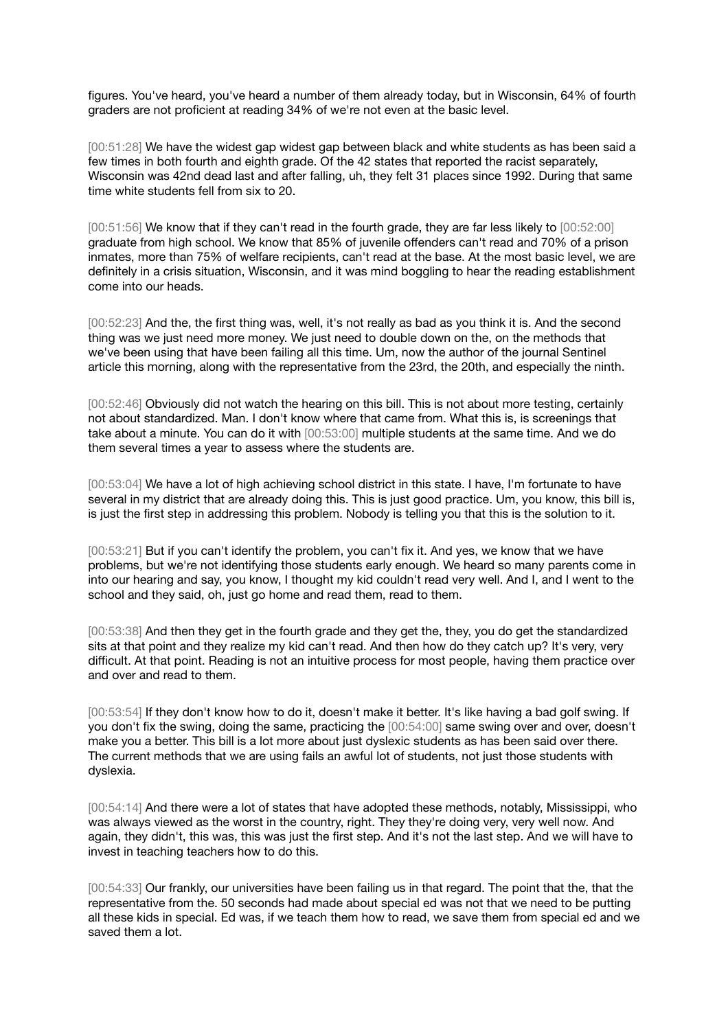figures. You've heard, you've heard a number of them already today, but in Wisconsin, 64% of fourth graders are not proficient at reading 34% of we're not even at the basic level.

[00:51:28] We have the widest gap widest gap between black and white students as has been said a few times in both fourth and eighth grade. Of the 42 states that reported the racist separately, Wisconsin was 42nd dead last and after falling, uh, they felt 31 places since 1992. During that same time white students fell from six to 20.

[00:51:56] We know that if they can't read in the fourth grade, they are far less likely to [00:52:00] graduate from high school. We know that 85% of juvenile offenders can't read and 70% of a prison inmates, more than 75% of welfare recipients, can't read at the base. At the most basic level, we are definitely in a crisis situation, Wisconsin, and it was mind boggling to hear the reading establishment come into our heads.

[00:52:23] And the, the first thing was, well, it's not really as bad as you think it is. And the second thing was we just need more money. We just need to double down on the, on the methods that we've been using that have been failing all this time. Um, now the author of the journal Sentinel article this morning, along with the representative from the 23rd, the 20th, and especially the ninth.

[00:52:46] Obviously did not watch the hearing on this bill. This is not about more testing, certainly not about standardized. Man. I don't know where that came from. What this is, is screenings that take about a minute. You can do it with [00:53:00] multiple students at the same time. And we do them several times a year to assess where the students are.

[00:53:04] We have a lot of high achieving school district in this state. I have, I'm fortunate to have several in my district that are already doing this. This is just good practice. Um, you know, this bill is, is just the first step in addressing this problem. Nobody is telling you that this is the solution to it.

[00:53:21] But if you can't identify the problem, you can't fix it. And yes, we know that we have problems, but we're not identifying those students early enough. We heard so many parents come in into our hearing and say, you know, I thought my kid couldn't read very well. And I, and I went to the school and they said, oh, just go home and read them, read to them.

[00:53:38] And then they get in the fourth grade and they get the, they, you do get the standardized sits at that point and they realize my kid can't read. And then how do they catch up? It's very, very difficult. At that point. Reading is not an intuitive process for most people, having them practice over and over and read to them.

[00:53:54] If they don't know how to do it, doesn't make it better. It's like having a bad golf swing. If you don't fix the swing, doing the same, practicing the [00:54:00] same swing over and over, doesn't make you a better. This bill is a lot more about just dyslexic students as has been said over there. The current methods that we are using fails an awful lot of students, not just those students with dyslexia.

[00:54:14] And there were a lot of states that have adopted these methods, notably, Mississippi, who was always viewed as the worst in the country, right. They they're doing very, very well now. And again, they didn't, this was, this was just the first step. And it's not the last step. And we will have to invest in teaching teachers how to do this.

[00:54:33] Our frankly, our universities have been failing us in that regard. The point that the, that the representative from the. 50 seconds had made about special ed was not that we need to be putting all these kids in special. Ed was, if we teach them how to read, we save them from special ed and we saved them a lot